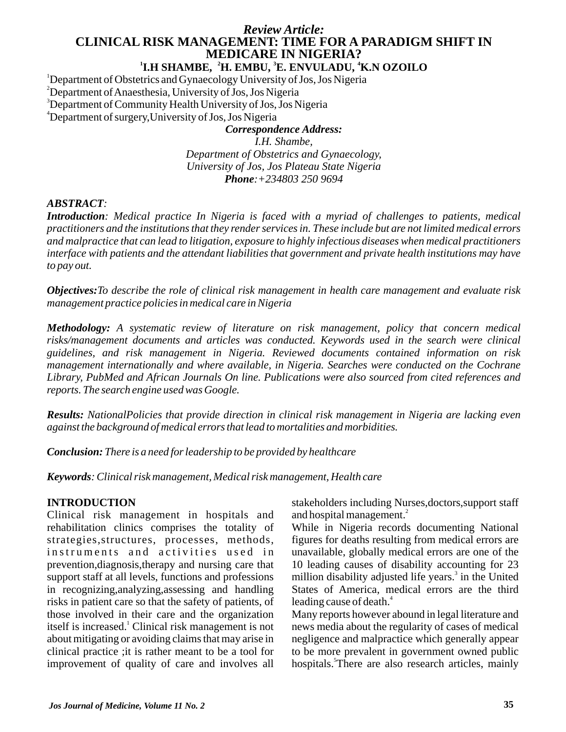# *Review Article:* **CLINICAL RISK MANAGEMENT: TIME FOR A PARADIGM SHIFT IN MEDICARE IN NIGERIA?**

## **1 2 3 4 I.H SHAMBE, H. EMBU, E. ENVULADU, K.N OZOILO**

<sup>1</sup>Department of Obstetrics and Gynaecology University of Jos, Jos Nigeria

<sup>2</sup>Department of Anaesthesia, University of Jos, Jos Nigeria

<sup>3</sup>Department of Community Health University of Jos, Jos Nigeria

<sup>4</sup>Department of surgery,University of Jos, Jos Nigeria

# *Correspondence Address: I.H. Shambe,*

*Department of Obstetrics and Gynaecology, University of Jos, Jos Plateau State Nigeria Phone:+234803 250 9694*

### *ABSTRACT:*

*Introduction: Medical practice In Nigeria is faced with a myriad of challenges to patients, medical practitioners and the institutions that they render services in. These include but are not limited medical errors and malpractice that can lead to litigation, exposure to highly infectious diseases when medical practitioners interface with patients and the attendant liabilities that government and private health institutions may have to pay out.*

*Objectives:To describe the role of clinical risk management in health care management and evaluate risk management practice policies in medical care in Nigeria*

*Methodology: A systematic review of literature on risk management, policy that concern medical risks/management documents and articles was conducted. Keywords used in the search were clinical guidelines, and risk management in Nigeria. Reviewed documents contained information on risk management internationally and where available, in Nigeria. Searches were conducted on the Cochrane Library, PubMed and African Journals On line. Publications were also sourced from cited references and reports. The search engine used was Google.*

*Results: NationalPolicies that provide direction in clinical risk management in Nigeria are lacking even against the background of medical errors that lead to mortalities and morbidities.*

*Conclusion: There is a need for leadership to be provided by healthcare*

*Keywords: Clinical risk management, Medical risk management, Health care*

## **INTRODUCTION**

Clinical risk management in hospitals and rehabilitation clinics comprises the totality of strategies,structures, processes, methods, instruments and activities used in prevention,diagnosis,therapy and nursing care that support staff at all levels, functions and professions in recognizing,analyzing,assessing and handling risks in patient care so that the safety of patients, of those involved in their care and the organization itself is increased.<sup>1</sup> Clinical risk management is not about mitigating or avoiding claims that may arise in clinical practice ;it is rather meant to be a tool for improvement of quality of care and involves all stakeholders including Nurses,doctors,support staff and hospital management.<sup>2</sup>

While in Nigeria records documenting National figures for deaths resulting from medical errors are unavailable, globally medical errors are one of the 10 leading causes of disability accounting for 23 million disability adjusted life years. $\delta$  in the United States of America, medical errors are the third leading cause of death.<sup>4</sup>

Many reports however abound in legal literature and news media about the regularity of cases of medical negligence and malpractice which generally appear to be more prevalent in government owned public hospitals.<sup>5</sup>There are also research articles, mainly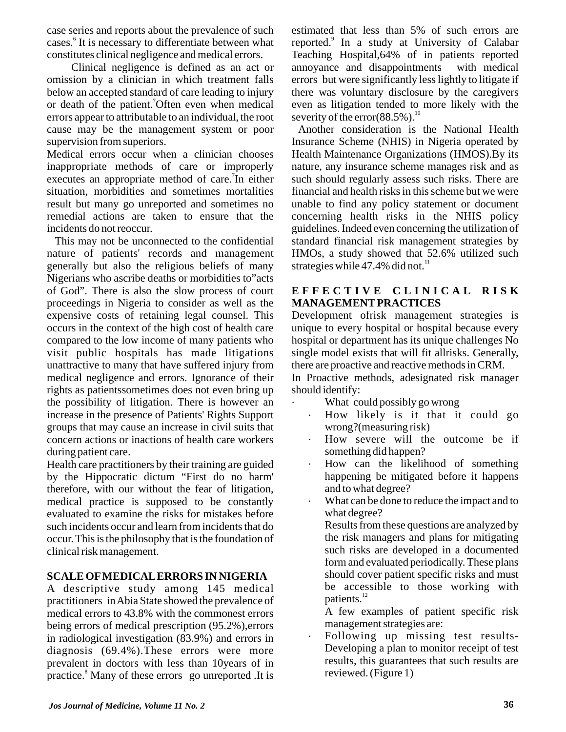case series and reports about the prevalence of such cases.<sup>6</sup> It is necessary to differentiate between what constitutes clinical negligence and medical errors.

Clinical negligence is defined as an act or omission by a clinician in which treatment falls below an accepted standard of care leading to injury or death of the patient.<sup>7</sup>Often even when medical errors appear to attributable to an individual, the root cause may be the management system or poor supervision from superiors.

Medical errors occur when a clinician chooses inappropriate methods of care or improperly executes an appropriate method of care.<sup>7</sup>In either situation, morbidities and sometimes mortalities result but many go unreported and sometimes no remedial actions are taken to ensure that the incidents do not reoccur.

This may not be unconnected to the confidential nature of patients' records and management generally but also the religious beliefs of many Nigerians who ascribe deaths or morbidities to"acts of God". There is also the slow process of court proceedings in Nigeria to consider as well as the expensive costs of retaining legal counsel. This occurs in the context of the high cost of health care compared to the low income of many patients who visit public hospitals has made litigations unattractive to many that have suffered injury from medical negligence and errors. Ignorance of their rights as patientssometimes does not even bring up the possibility of litigation. There is however an increase in the presence of Patients' Rights Support groups that may cause an increase in civil suits that concern actions or inactions of health care workers during patient care.

Health care practitioners by their training are guided by the Hippocratic dictum "First do no harm' therefore, with our without the fear of litigation, medical practice is supposed to be constantly evaluated to examine the risks for mistakes before such incidents occur and learn from incidents that do occur. This is the philosophy that is the foundation of clinical risk management.

## **SCALE OFMEDICALERRORS IN NIGERIA**

A descriptive study among 145 medical practitioners in Abia State showed the prevalence of medical errors to 43.8% with the commonest errors being errors of medical prescription (95.2%),errors in radiological investigation (83.9%) and errors in diagnosis (69.4%).These errors were more prevalent in doctors with less than 10years of in practice.<sup>8</sup> Many of these errors go unreported .It is estimated that less than 5% of such errors are reported.<sup>9</sup> In a study at University of Calabar Teaching Hospital,64% of in patients reported annoyance and disappointments with medical errors but were significantly less lightly to litigate if there was voluntary disclosure by the caregivers even as litigation tended to more likely with the severity of the error(88.5%).<sup>10</sup>

Another consideration is the National Health Insurance Scheme (NHIS) in Nigeria operated by Health Maintenance Organizations (HMOS).By its nature, any insurance scheme manages risk and as such should regularly assess such risks. There are financial and health risks in this scheme but we were unable to find any policy statement or document concerning health risks in the NHIS policy guidelines. Indeed even concerning the utilization of standard financial risk management strategies by HMOs, a study showed that 52.6% utilized such strategies while  $47.4\%$  did not.<sup>11</sup>

### **E F F E C T I V E C L I N I C A L R I S K MANAGEMENTPRACTICES**

Development ofrisk management strategies is unique to every hospital or hospital because every hospital or department has its unique challenges No single model exists that will fit allrisks. Generally, there are proactive and reactive methods in CRM.

In Proactive methods, adesignated risk manager should identify:

- · What could possibly go wrong
	- How likely is it that it could go wrong?(measuring risk)
	- How severe will the outcome be if something did happen?
	- How can the likelihood of something happening be mitigated before it happens and to what degree?
	- What can be done to reduce the impact and to what degree?
		- Results from these questions are analyzed by the risk managers and plans for mitigating such risks are developed in a documented form and evaluated periodically. These plans should cover patient specific risks and must be accessible to those working with patients.<sup>12</sup>
		- A few examples of patient specific risk management strategies are:
	- Following up missing test results-Developing a plan to monitor receipt of test results, this guarantees that such results are reviewed. (Figure 1)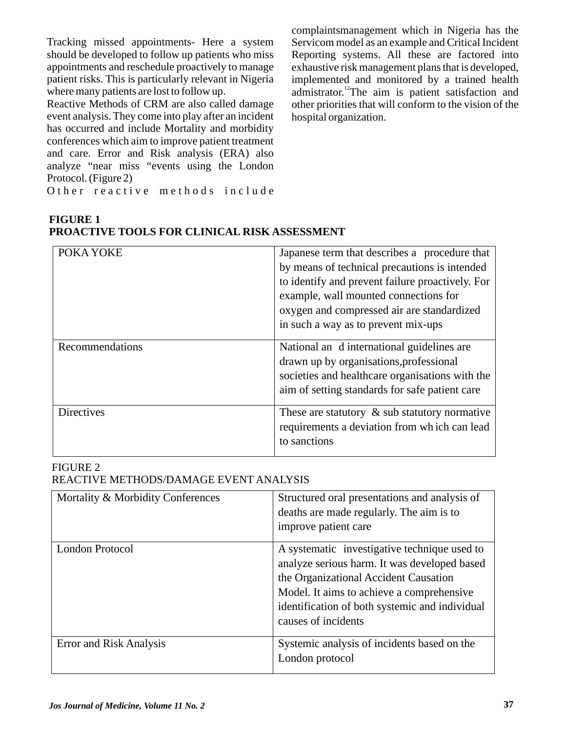Tracking missed appointments- Here a system should be developed to follow up patients who miss appointments and reschedule proactively to manage patient risks. This is particularly relevant in Nigeria where many patients are lost to follow up.

Reactive Methods of CRM are also called damage event analysis. They come into play after an incident has occurred and include Mortality and morbidity conferences which aim to improve patient treatment and care. Error and Risk analysis (ERA) also analyze "near miss "events using the London Protocol. (Figure 2)

O ther reactive methods include

complaintsmanagement which in Nigeria has the Servicom model as an example and Critical Incident Reporting systems. All these are factored into exhaustive risk management plans that is developed, implemented and monitored by a trained health admistrator.<sup>12</sup>The aim is patient satisfaction and other priorities that will conform to the vision of the hospital organization.

| <b>FIGURE 1</b>                              |  |
|----------------------------------------------|--|
| PROACTIVE TOOLS FOR CLINICAL RISK ASSESSMENT |  |

| POKA YOKE         | Japanese term that describes a procedure that<br>by means of technical precautions is intended<br>to identify and prevent failure proactively. For<br>example, wall mounted connections for<br>oxygen and compressed air are standardized<br>in such a way as to prevent mix-ups |
|-------------------|----------------------------------------------------------------------------------------------------------------------------------------------------------------------------------------------------------------------------------------------------------------------------------|
| Recommendations   | National an d international guidelines are<br>drawn up by organisations, professional<br>societies and healthcare organisations with the<br>aim of setting standards for safe patient care                                                                                       |
| <b>Directives</b> | These are statutory $\&$ sub statutory normative<br>requirements a deviation from which can lead<br>to sanctions                                                                                                                                                                 |

#### FIGURE 2 REACTIVE METHODS/DAMAGE EVENT ANALYSIS

| Mortality & Morbidity Conferences | Structured oral presentations and analysis of<br>deaths are made regularly. The aim is to<br>improve patient care                                                                                                                                           |
|-----------------------------------|-------------------------------------------------------------------------------------------------------------------------------------------------------------------------------------------------------------------------------------------------------------|
| London Protocol                   | A systematic investigative technique used to<br>analyze serious harm. It was developed based<br>the Organizational Accident Causation<br>Model. It aims to achieve a comprehensive<br>identification of both systemic and individual<br>causes of incidents |
| <b>Error and Risk Analysis</b>    | Systemic analysis of incidents based on the<br>London protocol                                                                                                                                                                                              |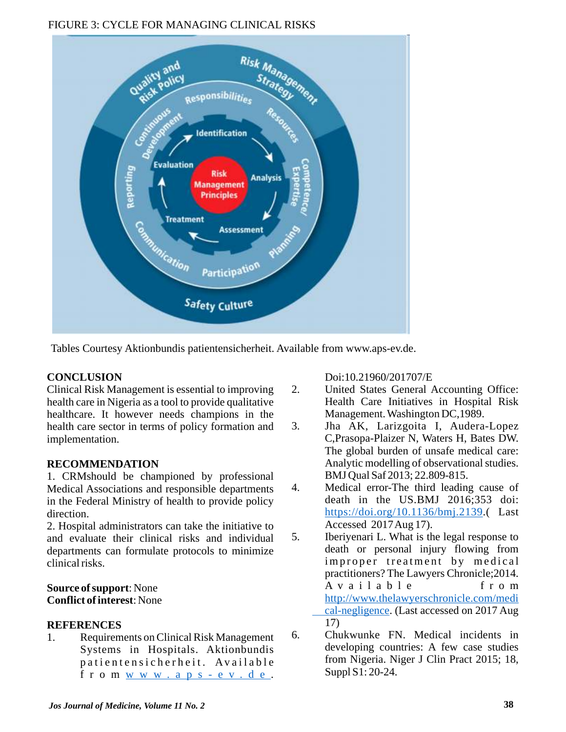## FIGURE 3: CYCLE FOR MANAGING CLINICAL RISKS



Tables Courtesy Aktionbundis patientensicherheit. Available from www.aps-ev.de.

# **CONCLUSION**

Clinical Risk Management is essential to improving health care in Nigeria as a tool to provide qualitative healthcare. It however needs champions in the health care sector in terms of policy formation and implementation.

# **RECOMMENDATION**

1. CRMshould be championed by professional Medical Associations and responsible departments in the Federal Ministry of health to provide policy direction.

2. Hospital administrators can take the initiative to and evaluate their clinical risks and individual departments can formulate protocols to minimize clinical risks.

## **Source of support**: None **Conflict of interest**: None

# **REFERENCES**

1. Requirements on Clinical Risk Management Systems in Hospitals. Aktionbundis patientensicherheit. Available f r o m w w w . a p s - e v . d e .

Doi:10.21960/201707/E

- 2. United States General Accounting Office: Health Care Initiatives in Hospital Risk Management. Washington DC,1989.
- 3. Jha AK, Larizgoita I, Audera-Lopez C,Prasopa-Plaizer N, Waters H, Bates DW. The global burden of unsafe medical care: Analytic modelling of observational studies. BMJ Qual Saf 2013; 22.809-815.
- 4. Medical error-The third leading cause of death in the US.BMJ 2016;353 doi: https://doi.org/10.1136/bmj.2139.(Last Accessed 2017 Aug 17).
- 5. Iberiyenari L. What is the legal response to death or personal injury flowing from improper treatment by medical practitioners? The Lawyers Chronicle;2014. A v a i l a b l e f r o m cal-negligence. (Last accessed on 2017 Aug 17) http://www.thelawyerschronicle.com/medi
- 6. Chukwunke FN. Medical incidents in developing countries: A few case studies from Nigeria. Niger J Clin Pract 2015; 18, Suppl S1: 20-24.